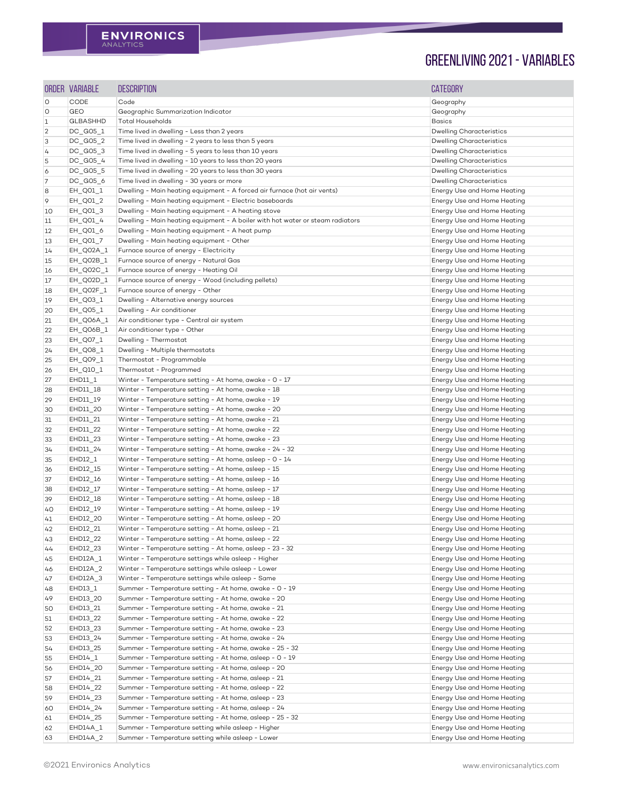|                | ORDER VARIABLE       | <b>DESCRIPTION</b>                                                                                      | <b>CATEGORY</b>                                            |
|----------------|----------------------|---------------------------------------------------------------------------------------------------------|------------------------------------------------------------|
| O              | <b>CODE</b>          | Code                                                                                                    | Geography                                                  |
| $\circ$        | <b>GEO</b>           | Geographic Summarization Indicator                                                                      | Geography                                                  |
| $\mathbf 1$    | <b>GLBASHHD</b>      | <b>Total Households</b>                                                                                 | <b>Basics</b>                                              |
| $\overline{2}$ | DC_G05_1             | Time lived in dwelling - Less than 2 years                                                              | <b>Dwelling Characteristics</b>                            |
| 3              | DC_G05_2             | Time lived in dwelling - 2 years to less than 5 years                                                   | <b>Dwelling Characteristics</b>                            |
| 4              | DC_G05_3             | Time lived in dwelling - 5 years to less than 10 years                                                  | <b>Dwelling Characteristics</b>                            |
| 5              | DC_G05_4             | Time lived in dwelling - 10 years to less than 20 years                                                 | <b>Dwelling Characteristics</b>                            |
| 6              | DC_G05_5             | Time lived in dwelling - 20 years to less than 30 years                                                 | <b>Dwelling Characteristics</b>                            |
| 7              | DC_G05_6             | Time lived in dwelling - 30 years or more                                                               | <b>Dwelling Characteristics</b>                            |
| 8              | EH_Q01_1             | Dwelling - Main heating equipment - A forced air furnace (hot air vents)                                | Energy Use and Home Heating                                |
| 9              | EH_Q01_2             | Dwelling - Main heating equipment - Electric baseboards                                                 | Energy Use and Home Heating                                |
| 10             | EH_Q01_3             | Dwelling - Main heating equipment - A heating stove                                                     | Energy Use and Home Heating                                |
| $11$           | EH_Q01_4             | Dwelling - Main heating equipment - A boiler with hot water or steam radiators                          | Energy Use and Home Heating                                |
| 12             | EH_Q01_6             | Dwelling - Main heating equipment - A heat pump                                                         | Energy Use and Home Heating                                |
| 13             | EH_Q01_7             | Dwelling - Main heating equipment - Other                                                               | Energy Use and Home Heating                                |
| 14             | EH_Q02A_1            | Furnace source of energy - Electricity                                                                  | Energy Use and Home Heating                                |
| 15             | EH_Q02B_1            | Furnace source of energy - Natural Gas                                                                  | Energy Use and Home Heating                                |
| 16             | EH_Q02C_1            | Furnace source of energy - Heating Oil                                                                  | Energy Use and Home Heating                                |
| 17             | EH_Q02D_1            | Furnace source of energy - Wood (including pellets)                                                     | Energy Use and Home Heating                                |
| 18             | EH_Q02F_1            | Furnace source of energy - Other                                                                        | Energy Use and Home Heating                                |
| 19             | EH_Q03_1             | Dwelling - Alternative energy sources                                                                   | Energy Use and Home Heating                                |
| 20             | EH_Q05_1             | Dwelling - Air conditioner                                                                              | Energy Use and Home Heating                                |
| 21             | EH_Q06A_1            | Air conditioner type - Central air system                                                               | Energy Use and Home Heating                                |
| 22             | EH_QO6B_1            | Air conditioner type - Other                                                                            | Energy Use and Home Heating                                |
| 23             | EH_Q07_1             | Dwelling - Thermostat                                                                                   | Energy Use and Home Heating                                |
| 24             | EH_Q08_1             | Dwelling - Multiple thermostats                                                                         | Energy Use and Home Heating                                |
| 25             | EH_Q09_1             | Thermostat - Programmable                                                                               | Energy Use and Home Heating                                |
| 26             | EH_Q10_1             | Thermostat - Programmed                                                                                 | Energy Use and Home Heating                                |
| 27             | EHD11_1              | Winter - Temperature setting - At home, awake - 0 - 17                                                  | Energy Use and Home Heating                                |
| 28             | EHD11_18             | Winter - Temperature setting - At home, awake - 18                                                      | Energy Use and Home Heating                                |
| 29             | EHD11 19             | Winter - Temperature setting - At home, awake - 19                                                      | Energy Use and Home Heating                                |
| 30             | EHD11_20             | Winter - Temperature setting - At home, awake - 20                                                      | Energy Use and Home Heating                                |
| 31             | EHD11_21             | Winter - Temperature setting - At home, awake - 21                                                      | Energy Use and Home Heating                                |
| 32             | EHD11_22             | Winter - Temperature setting - At home, awake - 22                                                      | Energy Use and Home Heating                                |
| 33             | EHD11_23             | Winter - Temperature setting - At home, awake - 23                                                      | Energy Use and Home Heating                                |
| 34             | EHD11_24             | Winter - Temperature setting - At home, awake - 24 - 32                                                 | Energy Use and Home Heating                                |
| 35             | EHD12_1              | Winter - Temperature setting - At home, asleep - 0 - 14                                                 | Energy Use and Home Heating                                |
| 36             | EHD12_15             | Winter - Temperature setting - At home, asleep - 15                                                     | Energy Use and Home Heating                                |
| 37             | EHD12_16             | Winter - Temperature setting - At home, asleep - 16                                                     | Energy Use and Home Heating                                |
| 38             | EHD12_17             | Winter - Temperature setting - At home, asleep - 17                                                     | Energy Use and Home Heating                                |
| 39             | EHD12_18             | Winter - Temperature setting - At home, asleep - 18                                                     | Energy Use and Home Heating                                |
| 40             | EHD12_19             | Winter - Temperature setting - At home, asleep - 19                                                     | Energy Use and Home Heating                                |
| 41             | EHD12_20             | Winter - Temperature setting - At home, asleep - 20                                                     | Energy Use and Home Heating                                |
| 42             | EHD12_21             | Winter - Temperature setting - At home, asleep - 21                                                     | Energy Use and Home Heating                                |
| 43             | EHD12_22             | Winter - Temperature setting - At home, asleep - 22                                                     | Energy Use and Home Heating                                |
| 44             | EHD12_23             | Winter - Temperature setting - At home, asleep - 23 - 32                                                | Energy Use and Home Heating                                |
| 45             | EHD12A_1             | Winter - Temperature settings while asleep - Higher                                                     | Energy Use and Home Heating                                |
| 46             | EHD12A_2             | Winter - Temperature settings while asleep - Lower                                                      | Energy Use and Home Heating                                |
| 47             | EHD12A_3             | Winter - Temperature settings while asleep - Same                                                       | Energy Use and Home Heating                                |
| 48             | EHD13_1              | Summer - Temperature setting - At home, awake - 0 - 19                                                  | Energy Use and Home Heating                                |
| 49             | EHD13_20             | Summer - Temperature setting - At home, awake - 20                                                      | Energy Use and Home Heating                                |
| 50             | EHD13_21             | Summer - Temperature setting - At home, awake - 21                                                      | Energy Use and Home Heating                                |
| 51             | EHD13_22             | Summer - Temperature setting - At home, awake - 22                                                      | Energy Use and Home Heating                                |
| 52             | EHD13_23             | Summer - Temperature setting - At home, awake - 23                                                      | Energy Use and Home Heating                                |
| 53             | EHD13_24             | Summer - Temperature setting - At home, awake - 24                                                      | Energy Use and Home Heating                                |
| 54             | EHD13_25             | Summer - Temperature setting - At home, awake - 25 - 32                                                 | Energy Use and Home Heating                                |
| 55             | $EHD14_1$            | Summer - Temperature setting - At home, asleep - 0 - 19                                                 | Energy Use and Home Heating                                |
| 56             | EHD14_20             | Summer - Temperature setting - At home, asleep - 20                                                     | Energy Use and Home Heating                                |
| 57             | EHD14_21             | Summer - Temperature setting - At home, asleep - 21                                                     | Energy Use and Home Heating                                |
| 58             | EHD14_22             | Summer - Temperature setting - At home, asleep - 22                                                     | Energy Use and Home Heating                                |
| 59             | EHD14_23             | Summer - Temperature setting - At home, asleep - 23                                                     | Energy Use and Home Heating                                |
| 60             | EHD14_24             | Summer - Temperature setting - At home, asleep - 24                                                     | Energy Use and Home Heating                                |
| 61             | EHD14_25             | Summer - Temperature setting - At home, asleep - 25 - 32                                                | Energy Use and Home Heating                                |
| 62             | EHD14A 1<br>EHD14A 2 | Summer - Temperature setting while asleep - Higher<br>Summer - Temperature setting while asleep - Lower | Energy Use and Home Heating<br>Energy Use and Home Heating |
| 63             |                      |                                                                                                         |                                                            |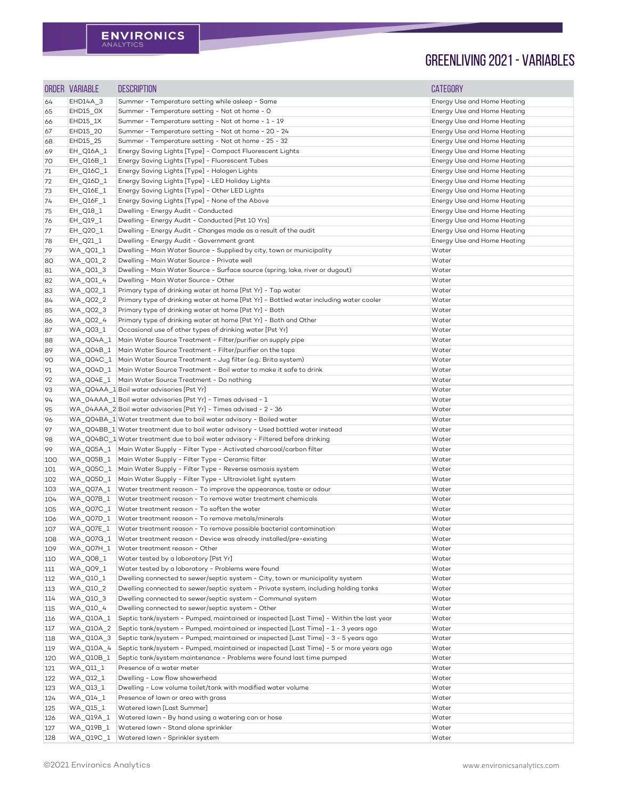|     | ORDER VARIABLE                                  | <b>DESCRIPTION</b>                                                                      | <b>CATEGORY</b>             |
|-----|-------------------------------------------------|-----------------------------------------------------------------------------------------|-----------------------------|
| 64  | EHD14A_3                                        | Summer - Temperature setting while asleep - Same                                        | Energy Use and Home Heating |
| 65  | EHD15_OX                                        | Summer - Temperature setting - Not at home - O                                          | Energy Use and Home Heating |
| 66  | $EHD15_1X$                                      | Summer - Temperature setting - Not at home - 1 - 19                                     | Energy Use and Home Heating |
| 67  | EHD15_20                                        | Summer - Temperature setting - Not at home - 20 - 24                                    | Energy Use and Home Heating |
| 68  | EHD15_25                                        | Summer - Temperature setting - Not at home - 25 - 32                                    | Energy Use and Home Heating |
| 69  | EH_Q16A_1                                       | Energy Saving Lights [Type] - Compact Fluorescent Lights                                | Energy Use and Home Heating |
| 70  | EH_Q16B_1                                       | Energy Saving Lights [Type] - Fluorescent Tubes                                         | Energy Use and Home Heating |
| 71  | EH_Q16C_1                                       | Energy Saving Lights [Type] - Halogen Lights                                            | Energy Use and Home Heating |
| 72  | EH_Q16D_1                                       | Energy Saving Lights [Type] - LED Holiday Lights                                        | Energy Use and Home Heating |
| 73  | EH_Q16E_1                                       | Energy Saving Lights [Type] - Other LED Lights                                          | Energy Use and Home Heating |
| 74  | EH_Q16F_1                                       | Energy Saving Lights [Type] - None of the Above                                         | Energy Use and Home Heating |
| 75  | EH_Q18_1                                        | Dwelling - Energy Audit - Conducted                                                     | Energy Use and Home Heating |
| 76  | EH_Q19_1                                        | Dwelling - Energy Audit - Conducted [Pst 10 Yrs]                                        | Energy Use and Home Heating |
| 77  | EH_Q20_1                                        | Dwelling - Energy Audit - Changes made as a result of the audit                         | Energy Use and Home Heating |
| 78  | $EH$ <sub><math>Q</math>21<math>_1</math></sub> | Dwelling - Energy Audit - Government grant                                              | Energy Use and Home Heating |
| 79  | WA_Q01_1                                        | Dwelling - Main Water Source - Supplied by city, town or municipality                   | Water                       |
| 80  | WA_Q01_2                                        | Dwelling - Main Water Source - Private well                                             | Water                       |
| 81  | WA_Q01_3                                        | Dwelling - Main Water Source - Surface source (spring, lake, river or dugout)           | Water                       |
| 82  | WA_Q01_4                                        | Dwelling - Main Water Source - Other                                                    | Water                       |
| 83  | WA_Q02_1                                        | Primary type of drinking water at home [Pst Yr] - Tap water                             | Water                       |
| 84  | WA_Q02_2                                        | Primary type of drinking water at home [Pst Yr] - Bottled water including water cooler  | Water                       |
| 85  | WA_Q02_3                                        | Primary type of drinking water at home [Pst Yr] - Both                                  | Water                       |
| 86  | WA_Q02_4                                        | Primary type of drinking water at home [Pst Yr] - Both and Other                        | Water                       |
| 87  | WA_Q03_1                                        | Occasional use of other types of drinking water [Pst Yr]                                | Water                       |
| 88  | WA_Q04A_1                                       | Main Water Source Treatment - Filter/purifier on supply pipe                            | Water                       |
| 89  | WA_Q04B_1                                       | Main Water Source Treatment - Filter/purifier on the taps                               | Water                       |
| 90  | WA_Q04C_1                                       | Main Water Source Treatment - Jug filter (e.g.: Brita system)                           | Water                       |
| 91  | WA_Q04D_1                                       | Main Water Source Treatment - Boil water to make it safe to drink                       | Water                       |
| 92  |                                                 | WA Q04E 1   Main Water Source Treatment - Do nothing                                    | Water                       |
| 93  |                                                 | WA_Q04AA_1 Boil water advisories [Pst Yr]                                               | Water                       |
| 94  |                                                 | WA_04AAA_1 Boil water advisories [Pst Yr] - Times advised - 1                           | Water                       |
| 95  |                                                 | WA_04AAA_2 Boil water advisories [Pst Yr] - Times advised - 2 - 36                      | Water                       |
| 96  |                                                 | WA_Q04BA_1 Water treatment due to boil water advisory - Boiled water                    | Water                       |
| 97  |                                                 | WA Q04BB 1 Water treatment due to boil water advisory - Used bottled water instead      | Water                       |
| 98  |                                                 | WA_Q04BC_1 Water treatment due to boil water advisory - Filtered before drinking        | Water                       |
| 99  |                                                 | WA_Q05A_1   Main Water Supply - Filter Type - Activated charcoal/carbon filter          | Water                       |
| 100 |                                                 | WA_Q05B_1   Main Water Supply - Filter Type - Ceramic filter                            | Water                       |
| 101 |                                                 | WA_Q05C_1   Main Water Supply - Filter Type - Reverse osmosis system                    | Water                       |
| 102 | WA_Q05D_1                                       | Main Water Supply - Filter Type - Ultraviolet light system                              | Water                       |
| 103 | WA_Q07A_1                                       | Water treatment reason - To improve the appearance, taste or odour                      | Water                       |
| 104 | WA_Q07B_1                                       | Water treatment reason - To remove water treatment chemicals                            | Water                       |
| 105 | WA_Q07C_1                                       | Water treatment reason - To soften the water                                            | Water                       |
| 106 | WA_Q07D_1                                       | Water treatment reason - To remove metals/minerals                                      | Water                       |
| 107 | WA_Q07E_1                                       | Water treatment reason - To remove possible bacterial contamination                     | Water                       |
| 108 | WA_Q07G_1                                       | Water treatment reason - Device was already installed/pre-existing                      | Water                       |
| 109 | WA_Q07H_1                                       | Water treatment reason - Other                                                          | Water                       |
| 110 | WA_Q08_1                                        | Water tested by a laboratory [Pst Yr]                                                   | Water                       |
| 111 | WA_Q09_1                                        | Water tested by a laboratory - Problems were found                                      | Water                       |
| 112 | WA_Q10_1                                        | Dwelling connected to sewer/septic system - City, town or municipality system           | Water                       |
| 113 | WA Q10 2                                        | Dwelling connected to sewer/septic system - Private system, including holding tanks     | Water                       |
| 114 | WA_Q10_3                                        | Dwelling connected to sewer/septic system - Communal system                             | Water                       |
| 115 | WA_Q10_4                                        | Dwelling connected to sewer/septic system - Other                                       | Water                       |
| 116 | WA_Q10A_1                                       | Septic tank/system - Pumped, maintained or inspected [Last Time] - Within the last year | Water                       |
| 117 | WA_Q10A_2                                       | Septic tank/system - Pumped, maintained or inspected [Last Time] - 1 - 3 years ago      | Water                       |
| 118 | WA_Q10A_3                                       | Septic tank/system - Pumped, maintained or inspected [Last Time] - 3 - 5 years ago      | Water                       |
| 119 | WA_Q10A_4                                       | Septic tank/system - Pumped, maintained or inspected [Last Time] - 5 or more years ago  | Water                       |
| 120 | WA_Q10B_1                                       | Septic tank/system maintenance - Problems were found last time pumped                   | Water                       |
| 121 | WA_Q11_1                                        | Presence of a water meter                                                               | Water                       |
| 122 | WA_Q12_1                                        | Dwelling - Low flow showerhead                                                          | Water                       |
| 123 | WA_Q13_1                                        | Dwelling - Low volume toilet/tank with modified water volume                            | Water                       |
| 124 | WA_Q14_1                                        | Presence of lawn or area with grass                                                     | Water                       |
| 125 | WA_Q15_1                                        | Watered lawn [Last Summer]                                                              | Water                       |
| 126 | WA_Q19A_1                                       | Watered lawn - By hand using a watering can or hose                                     | Water                       |
| 127 | WA_Q19B_1                                       | Watered lawn - Stand alone sprinkler                                                    | Water                       |
| 128 | WA_Q19C_1                                       | Watered lawn - Sprinkler system                                                         | Water                       |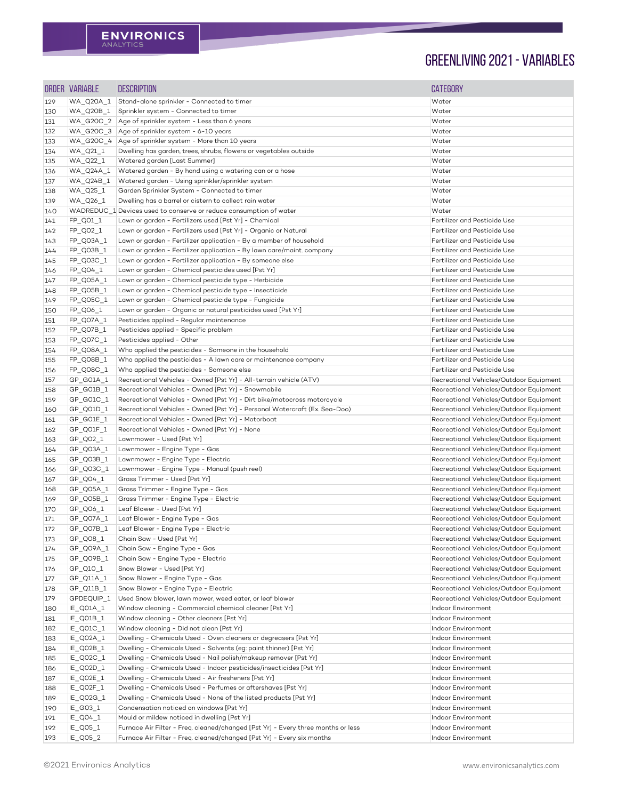|     | <b>ORDER VARIABLE</b> | <b>DESCRIPTION</b>                                                                                                                                         | <b>CATEGORY</b>                          |
|-----|-----------------------|------------------------------------------------------------------------------------------------------------------------------------------------------------|------------------------------------------|
| 129 | WA_Q20A_1             | Stand-alone sprinkler - Connected to timer                                                                                                                 | Water                                    |
| 130 | WA_Q20B_1             | Sprinkler system - Connected to timer                                                                                                                      | Water                                    |
| 131 | WA_G20C_2             | Age of sprinkler system - Less than 6 years                                                                                                                | Water                                    |
| 132 | WA_G20C_3             | Age of sprinkler system - 6-10 years                                                                                                                       | Water                                    |
| 133 | WA_G20C_4             | Age of sprinkler system - More than 10 years                                                                                                               | Water                                    |
| 134 | WA_Q21_1              | Dwelling has garden, trees, shrubs, flowers or vegetables outside                                                                                          | Water                                    |
| 135 | WA_Q22_1              | Watered garden [Last Summer]                                                                                                                               | Water                                    |
| 136 | WA_Q24A_1             | Watered garden - By hand using a watering can or a hose                                                                                                    | Water                                    |
| 137 | WA_Q24B_1             | Watered garden - Using sprinkler/sprinkler system                                                                                                          | Water                                    |
| 138 | WA_Q25_1              | Garden Sprinkler System - Connected to timer                                                                                                               | Water                                    |
| 139 | WA_Q26_1              | Dwelling has a barrel or cistern to collect rain water                                                                                                     | Water                                    |
| 140 |                       | WADREDUC_1 Devices used to conserve or reduce consumption of water                                                                                         | Water                                    |
| 141 | FP_Q01_1              | Lawn or garden - Fertilizers used [Pst Yr] - Chemical                                                                                                      | Fertilizer and Pesticide Use             |
| 142 | FP_Q02_1              | Lawn or garden - Fertilizers used [Pst Yr] - Organic or Natural                                                                                            | Fertilizer and Pesticide Use             |
| 143 | FP_Q03A_1             | Lawn or garden - Fertilizer application - By a member of household                                                                                         | Fertilizer and Pesticide Use             |
| 144 | FP_Q03B_1             | Lawn or garden - Fertilizer application - By lawn care/maint. company                                                                                      | Fertilizer and Pesticide Use             |
| 145 | FP_Q03C_1             | Lawn or garden - Fertilizer application - By someone else                                                                                                  | Fertilizer and Pesticide Use             |
| 146 | $FP_Q04_1$            | Lawn or garden - Chemical pesticides used [Pst Yr]                                                                                                         | Fertilizer and Pesticide Use             |
| 147 | FP_Q05A_1             | Lawn or garden - Chemical pesticide type - Herbicide                                                                                                       | Fertilizer and Pesticide Use             |
| 148 | FP_Q05B_1             | Lawn or garden - Chemical pesticide type - Insecticide                                                                                                     | Fertilizer and Pesticide Use             |
| 149 | FP_Q05C_1             | Lawn or garden - Chemical pesticide type - Fungicide                                                                                                       | Fertilizer and Pesticide Use             |
| 150 | FP_Q06_1              | Lawn or garden - Organic or natural pesticides used [Pst Yr]                                                                                               | Fertilizer and Pesticide Use             |
| 151 | FP_Q07A_1             | Pesticides applied - Regular maintenance                                                                                                                   | Fertilizer and Pesticide Use             |
| 152 | FP_Q07B_1             | Pesticides applied - Specific problem                                                                                                                      | Fertilizer and Pesticide Use             |
| 153 | FP_Q07C_1             | Pesticides applied - Other                                                                                                                                 | Fertilizer and Pesticide Use             |
| 154 | FP_Q08A_1             | Who applied the pesticides - Someone in the household                                                                                                      | Fertilizer and Pesticide Use             |
| 155 | $FP_Q08B_1$           | Who applied the pesticides - A lawn care or maintenance company                                                                                            | Fertilizer and Pesticide Use             |
| 156 | FP_Q08C_1             | Who applied the pesticides - Someone else                                                                                                                  | Fertilizer and Pesticide Use             |
| 157 | GP_G01A_1             | Recreational Vehicles - Owned [Pst Yr] - All-terrain vehicle (ATV)                                                                                         | Recreational Vehicles/Outdoor Equipment  |
| 158 | $GP_GO1B_1$           | Recreational Vehicles - Owned [Pst Yr] - Snowmobile                                                                                                        | Recreational Vehicles/Outdoor Equipment  |
| 159 | $GP_GO1C_1$           | Recreational Vehicles - Owned [Pst Yr] - Dirt bike/motocross motorcycle                                                                                    | Recreational Vehicles/Outdoor Equipment  |
| 160 | GP_Q01D_1             | Recreational Vehicles - Owned [Pst Yr] - Personal Watercraft (Ex. Sea-Doo)                                                                                 | Recreational Vehicles/Outdoor Equipment  |
| 161 | $GP_GO1E_1$           | Recreational Vehicles - Owned [Pst Yr] - Motorboat                                                                                                         | Recreational Vehicles/Outdoor Equipment  |
| 162 | GP_Q01F_1             | Recreational Vehicles - Owned [Pst Yr] - None                                                                                                              | Recreational Vehicles/Outdoor Equipment  |
| 163 | $GP_QO2_1$            | Lawnmower - Used [Pst Yr]                                                                                                                                  | Recreational Vehicles/Outdoor Equipment  |
| 164 | GP_Q03A_1             | Lawnmower - Engine Type - Gas                                                                                                                              | Recreational Vehicles/Outdoor Equipment  |
| 165 | $GP_QO3B_1$           | Lawnmower - Engine Type - Electric                                                                                                                         | Recreational Vehicles/Outdoor Equipment  |
| 166 | $GP_QO3C_1$           | Lawnmower - Engine Type - Manual (push reel)                                                                                                               | Recreational Vehicles/Outdoor Equipment  |
| 167 | $GP$ QO4_1            | Grass Trimmer - Used [Pst Yr]                                                                                                                              | Recreational Vehicles/Outdoor Equipment  |
| 168 | GP_Q05A_1             | Grass Trimmer - Engine Type - Gas                                                                                                                          | Recreational Vehicles/Outdoor Equipment  |
| 169 | $G.P_QO5B_1$          | Grass Trimmer - Engine Type - Electric                                                                                                                     | Recreational Vehicles/Outdoor Equipment  |
| 170 | $GP_Q$ 06 $_1$        | Leaf Blower - Used [Pst Yr]                                                                                                                                | Recreational Vehicles/Outdoor Equipment  |
| 171 | GP_Q07A_1             | Leaf Blower - Engine Type - Gas                                                                                                                            | Recreational Vehicles/Outdoor Equipment  |
| 172 | GP_Q07B_1             | Leaf Blower - Engine Type - Electric                                                                                                                       | Recreational Vehicles/Outdoor Equipment  |
| 173 | GP_Q08_1              | Chain Saw - Used [Pst Yr]                                                                                                                                  | Recreational Vehicles/Outdoor Equipment  |
| 174 | GP_Q09A_1             | Chain Saw - Engine Type - Gas                                                                                                                              | Recreational Vehicles/Outdoor Equipment  |
| 175 | GP_Q09B_1             | Chain Saw - Engine Type - Electric                                                                                                                         | Recreational Vehicles/Outdoor Equipment  |
| 176 | $GP_Q10_1$            | Snow Blower - Used [Pst Yr]                                                                                                                                | Recreational Vehicles/Outdoor Equipment  |
| 177 | $GP_Q11A_1$           | Snow Blower - Engine Type - Gas                                                                                                                            | Recreational Vehicles/Outdoor Equipment  |
| 178 | $GP_Q11B_1$           | Snow Blower - Engine Type - Electric                                                                                                                       | Recreational Vehicles/Outdoor Equipment  |
| 179 | GPDEQUIP_1            | Used Snow blower, lawn mower, weed eater, or leaf blower                                                                                                   | Recreational Vehicles/Outdoor Equipment  |
| 180 | IE_Q01A_1             | Window cleaning - Commercial chemical cleaner [Pst Yr]                                                                                                     | Indoor Environment                       |
| 181 | IE_Q01B_1             | Window cleaning - Other cleaners [Pst Yr]                                                                                                                  | Indoor Environment                       |
| 182 | IE_Q01C_1             | Window cleaning - Did not clean [Pst Yr]                                                                                                                   | Indoor Environment                       |
| 183 | IE_Q02A_1             | Dwelling - Chemicals Used - Oven cleaners or degreasers [Pst Yr]                                                                                           | Indoor Environment                       |
| 184 | IE_Q02B_1             | Dwelling - Chemicals Used - Solvents (eg: paint thinner) [Pst Yr]                                                                                          | Indoor Environment                       |
| 185 | IE_Q02C_1             | Dwelling - Chemicals Used - Nail polish/makeup remover [Pst Yr]                                                                                            | Indoor Environment                       |
| 186 | IE_Q02D_1             | Dwelling - Chemicals Used - Indoor pesticides/insecticides [Pst Yr]                                                                                        | Indoor Environment                       |
| 187 | IE_Q02E_1             | Dwelling - Chemicals Used - Air fresheners [Pst Yr]                                                                                                        | Indoor Environment                       |
| 188 | IE_Q02F_1             | Dwelling - Chemicals Used - Perfumes or aftershaves [Pst Yr]                                                                                               | Indoor Environment                       |
| 189 | IE_Q02G_1             | Dwelling - Chemicals Used - None of the listed products [Pst Yr]                                                                                           | Indoor Environment                       |
| 190 | IE_G03_1              | Condensation noticed on windows [Pst Yr]                                                                                                                   | Indoor Environment                       |
| 191 | IE_QO4_1              | Mould or mildew noticed in dwelling [Pst Yr]                                                                                                               | Indoor Environment                       |
| 192 | IE_Q05_1              | Furnace Air Filter - Freq. cleaned/changed [Pst Yr] - Every three months or less<br>Furnace Air Filter - Freq. cleaned/changed [Pst Yr] - Every six months | Indoor Environment<br>Indoor Environment |
| 193 | IE_Q05_2              |                                                                                                                                                            |                                          |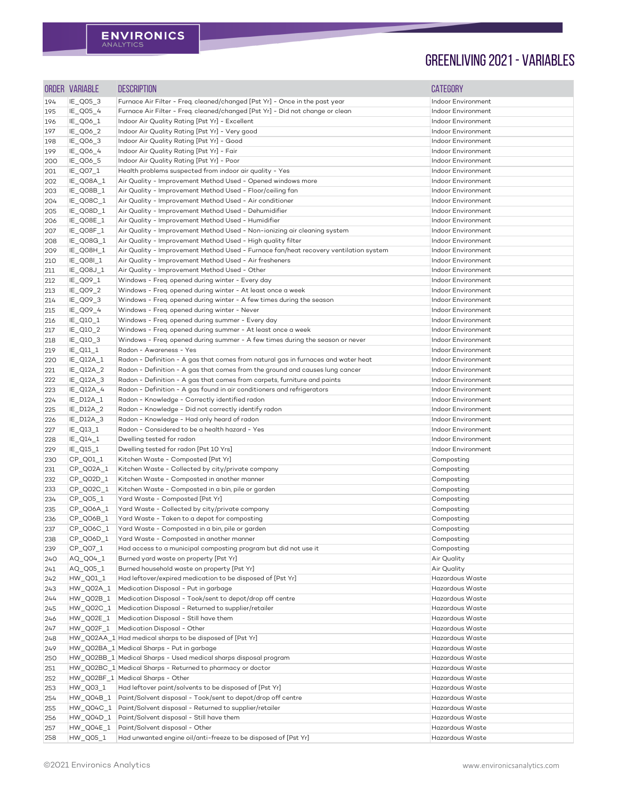|                   | ORDER VARIABLE         | <b>DESCRIPTION</b>                                                                                                                                  | <b>CATEGORY</b>                          |
|-------------------|------------------------|-----------------------------------------------------------------------------------------------------------------------------------------------------|------------------------------------------|
| 194               | IE_Q05_3               | Furnace Air Filter - Freq. cleaned/changed [Pst Yr] - Once in the past year                                                                         | Indoor Environment                       |
| 195               | IE_Q05_4               | Furnace Air Filter - Freq. cleaned/changed [Pst Yr] - Did not change or clean                                                                       | Indoor Environment                       |
| 196               | IE_Q06_1               | Indoor Air Quality Rating [Pst Yr] - Excellent                                                                                                      | Indoor Environment                       |
| 197               | IE_Q06_2               | Indoor Air Quality Rating [Pst Yr] - Very good                                                                                                      | Indoor Environment                       |
| 198               | IE_Q06_3               | Indoor Air Quality Rating [Pst Yr] - Good                                                                                                           | Indoor Environment                       |
| 199               | IE_Q06_4               | Indoor Air Quality Rating [Pst Yr] - Fair                                                                                                           | Indoor Environment                       |
| 200               | IE_Q06_5               | Indoor Air Quality Rating [Pst Yr] - Poor                                                                                                           | Indoor Environment                       |
| 201               | IE_Q07_1               | Health problems suspected from indoor air quality - Yes                                                                                             | Indoor Environment                       |
| 202               | IE_Q08A_1              | Air Quality - Improvement Method Used - Opened windows more                                                                                         | Indoor Environment                       |
| 203               | IE_Q08B_1              | Air Quality - Improvement Method Used - Floor/ceiling fan                                                                                           | Indoor Environment                       |
| 204               | IE_Q08C_1              | Air Quality - Improvement Method Used - Air conditioner                                                                                             | Indoor Environment                       |
| 205               | IE_Q08D_1              | Air Quality - Improvement Method Used - Dehumidifier                                                                                                | Indoor Environment                       |
| 206               | IE_Q08E_1              | Air Quality - Improvement Method Used - Humidifier                                                                                                  | Indoor Environment<br>Indoor Environment |
| 207               | IE_Q08F_1              | Air Quality - Improvement Method Used - Non-ionizing air cleaning system                                                                            | Indoor Environment                       |
| 208               | IE_Q08G_1<br>IE_Q08H_1 | Air Quality - Improvement Method Used - High quality filter<br>Air Quality - Improvement Method Used - Furnace fan/heat recovery ventilation system | Indoor Environment                       |
| 209<br>210        | IE_Q08I_1              | Air Quality - Improvement Method Used - Air fresheners                                                                                              | Indoor Environment                       |
| 211               | IE_Q08J_1              | Air Quality - Improvement Method Used - Other                                                                                                       | Indoor Environment                       |
| 212               | IE_Q09_1               | Windows - Freq. opened during winter - Every day                                                                                                    | Indoor Environment                       |
| 213               | IE_Q09_2               | Windows - Freq. opened during winter - At least once a week                                                                                         | Indoor Environment                       |
| 214               | IE_Q09_3               | Windows - Freq. opened during winter - A few times during the season                                                                                | Indoor Environment                       |
| 215               | IE_Q09_4               | Windows - Freq. opened during winter - Never                                                                                                        | Indoor Environment                       |
| 216               | IE_Q10_1               | Windows - Freq. opened during summer - Every day                                                                                                    | Indoor Environment                       |
| 217               | IE_Q10_2               | Windows - Freq. opened during summer - At least once a week                                                                                         | Indoor Environment                       |
| 218               | IE_Q10_3               | Windows - Freq. opened during summer - A few times during the season or never                                                                       | Indoor Environment                       |
| 219               | $IE\_Q11\_1$           | Radon - Awareness - Yes                                                                                                                             | Indoor Environment                       |
| 220               | $IE_Q12A_1$            | Radon - Definition - A gas that comes from natural gas in furnaces and water heat                                                                   | Indoor Environment                       |
| 221               | IE_Q12A_2              | Radon - Definition - A gas that comes from the ground and causes lung cancer                                                                        | Indoor Environment                       |
| 222               | IE_Q12A_3              | Radon - Definition - A gas that comes from carpets, furniture and paints                                                                            | Indoor Environment                       |
| 223               | IE_Q12A_4              | Radon - Definition - A gas found in air conditioners and refrigerators                                                                              | Indoor Environment                       |
| 224               | IE_D12A_1              | Radon - Knowledge - Correctly identified radon                                                                                                      | Indoor Environment                       |
| 225               | IE_D12A_2              | Radon - Knowledge - Did not correctly identify radon                                                                                                | Indoor Environment                       |
| 226               | IE_D12A_3              | Radon - Knowledge - Had only heard of radon                                                                                                         | Indoor Environment                       |
| 227               | $IE\_Q13\_1$           | Radon - Considered to be a health hazard - Yes                                                                                                      | Indoor Environment                       |
| 228               | $IE\_Q14\_1$           | Dwelling tested for radon                                                                                                                           | Indoor Environment                       |
| 229               | $IE\_Q15\_1$           | Dwelling tested for radon [Pst 10 Yrs]                                                                                                              | Indoor Environment                       |
| 230               | CP_Q01_1               | Kitchen Waste - Composted [Pst Yr]                                                                                                                  | Composting                               |
| 231               | CP_Q02A_1              | Kitchen Waste - Collected by city/private company                                                                                                   | Composting                               |
| 232               | CP_Q02D_1              | Kitchen Waste - Composted in another manner                                                                                                         | Composting                               |
| 233               | CP_Q02C_1              | Kitchen Waste - Composted in a bin, pile or garden                                                                                                  | Composting                               |
| 234               | CP_Q05_1               | Yard Waste - Composted [Pst Yr]                                                                                                                     | Composting                               |
| 235               | CP_Q06A_1              | Yard Waste - Collected by city/private company                                                                                                      | Composting                               |
| 236               | CP_Q06B_1              | Yard Waste - Taken to a depot for composting                                                                                                        | Composting                               |
| 237               | CP_Q06C_1              | Yard Waste - Composted in a bin, pile or garden                                                                                                     | Composting                               |
| 238               | CP_Q06D_1<br>CP_Q07_1  | Yard Waste - Composted in another manner                                                                                                            | Composting                               |
| 239               | AQ_Q04_1               | Had access to a municipal composting program but did not use it<br>Burned yard waste on property [Pst Yr]                                           | Composting<br>Air Quality                |
| <b>240</b><br>241 | AQ_Q05_1               | Burned household waste on property [Pst Yr]                                                                                                         | Air Quality                              |
| 242               | $HW_QO1_1$             | Had leftover/expired medication to be disposed of [Pst Yr]                                                                                          | Hazardous Waste                          |
| 243               | HW_Q02A_1              | Medication Disposal - Put in garbage                                                                                                                | Hazardous Waste                          |
| 244               | HW_Q02B_1              | Medication Disposal - Took/sent to depot/drop off centre                                                                                            | Hazardous Waste                          |
| 245               | HW_Q02C_1              | Medication Disposal - Returned to supplier/retailer                                                                                                 | Hazardous Waste                          |
| 246               |                        |                                                                                                                                                     |                                          |
| 247               |                        | Medication Disposal - Still have them                                                                                                               | Hazardous Waste                          |
| 248               | HW_Q02E_1              |                                                                                                                                                     | Hazardous Waste                          |
|                   | HW_Q02F_1              | Medication Disposal - Other<br>HW_Q02AA_1 Had medical sharps to be disposed of [Pst Yr]                                                             | Hazardous Waste                          |
| 249               |                        | HW_Q02BA_1 Medical Sharps - Put in garbage                                                                                                          | Hazardous Waste                          |
| 250               |                        | HW_Q02BB_1 Medical Sharps - Used medical sharps disposal program                                                                                    | Hazardous Waste                          |
| 251               |                        | HW_Q02BC_1 Medical Sharps - Returned to pharmacy or doctor                                                                                          | Hazardous Waste                          |
| 252               |                        | HW_Q02BF_1 Medical Sharps - Other                                                                                                                   | Hazardous Waste                          |
| 253               | HW_Q03_1               | Had leftover paint/solvents to be disposed of [Pst Yr]                                                                                              | Hazardous Waste                          |
| 254               | HW_Q04B_1              | Paint/Solvent disposal - Took/sent to depot/drop off centre                                                                                         | Hazardous Waste                          |
| 255               | HW_Q04C_1              | Paint/Solvent disposal - Returned to supplier/retailer                                                                                              | Hazardous Waste                          |
| 256               | HW_Q04D_1              | Paint/Solvent disposal - Still have them                                                                                                            | Hazardous Waste                          |
| 257               | HW_Q04E_1<br>HW_Q05_1  | Paint/Solvent disposal - Other<br>Had unwanted engine oil/anti-freeze to be disposed of [Pst Yr]                                                    | Hazardous Waste<br>Hazardous Waste       |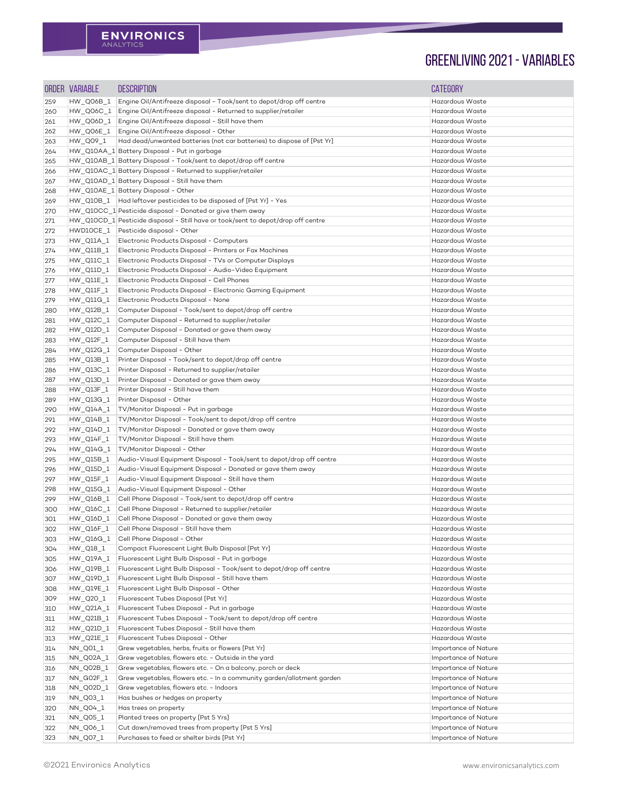|            | ORDER VARIABLE         | <b>DESCRIPTION</b>                                                                                                 | <b>CATEGORY</b>                              |
|------------|------------------------|--------------------------------------------------------------------------------------------------------------------|----------------------------------------------|
| 259        | HW_Q06B_1              | Engine Oil/Antifreeze disposal - Took/sent to depot/drop off centre                                                | Hazardous Waste                              |
| 260        | HW_Q06C_1              | Engine Oil/Antifreeze disposal - Returned to supplier/retailer                                                     | Hazardous Waste                              |
| 261        | HW_Q06D_1              | Engine Oil/Antifreeze disposal - Still have them                                                                   | Hazardous Waste                              |
| 262        | HW_Q06E_1              | Engine Oil/Antifreeze disposal - Other                                                                             | Hazardous Waste                              |
| 263        | HW_Q09_1               | Had dead/unwanted batteries (not car batteries) to dispose of [Pst Yr]                                             | Hazardous Waste                              |
| 264        |                        | HW_Q10AA_1 Battery Disposal - Put in garbage                                                                       | Hazardous Waste                              |
| 265        |                        | HW_Q10AB_1 Battery Disposal - Took/sent to depot/drop off centre                                                   | Hazardous Waste                              |
| 266        |                        | HW_Q10AC_1 Battery Disposal - Returned to supplier/retailer                                                        | Hazardous Waste                              |
| 267        |                        | HW_Q10AD_1 Battery Disposal - Still have them                                                                      | Hazardous Waste                              |
| 268        |                        | HW_Q10AE_1 Battery Disposal - Other                                                                                | Hazardous Waste                              |
| 269        |                        | HW_Q10B_1   Had leftover pesticides to be disposed of [Pst Yr] - Yes                                               | Hazardous Waste                              |
| 270        |                        | HW Q10CC 1 Pesticide disposal - Donated or give them away                                                          | Hazardous Waste                              |
| 271        |                        | HW_Q10CD_1 Pesticide disposal - Still have or took/sent to depot/drop off centre                                   | Hazardous Waste                              |
| 272        | HWD10CE_1              | Pesticide disposal - Other                                                                                         | Hazardous Waste                              |
| 273        | $HW_Q11A_1$            | Electronic Products Disposal - Computers                                                                           | Hazardous Waste                              |
| 274        | $HW_Q11B_1$            | Electronic Products Disposal - Printers or Fax Machines                                                            | Hazardous Waste                              |
| 275        | HW_Q11C_1              | Electronic Products Disposal - TVs or Computer Displays                                                            | Hazardous Waste                              |
| 276        | HW_Q11D_1              | Electronic Products Disposal - Audio-Video Equipment                                                               | Hazardous Waste                              |
| 277        | $HW\_Q11E\_1$          | Electronic Products Disposal - Cell Phones                                                                         | Hazardous Waste                              |
| 278        | HW_Q11F_1              | Electronic Products Disposal - Electronic Gaming Equipment                                                         | Hazardous Waste                              |
| 279        | HW_Q11G_1              | Electronic Products Disposal - None                                                                                | Hazardous Waste                              |
| 280        | HW_Q12B_1              | Computer Disposal - Took/sent to depot/drop off centre                                                             | Hazardous Waste                              |
| 281        | HW_Q12C_1              | Computer Disposal - Returned to supplier/retailer                                                                  | Hazardous Waste                              |
| 282        | HW_Q12D_1              | Computer Disposal - Donated or gave them away                                                                      | Hazardous Waste                              |
| 283        | HW Q12F 1              | Computer Disposal - Still have them                                                                                | Hazardous Waste                              |
| 284        | HW_Q12G_1              | Computer Disposal - Other                                                                                          | Hazardous Waste<br>Hazardous Waste           |
| 285        | HW_Q13B_1              | Printer Disposal - Took/sent to depot/drop off centre<br>Printer Disposal - Returned to supplier/retailer          | Hazardous Waste                              |
| 286        | HW_Q13C_1<br>HW_Q13D_1 | Printer Disposal - Donated or gave them away                                                                       | Hazardous Waste                              |
| 287<br>288 | HW_Q13F_1              | Printer Disposal - Still have them                                                                                 | Hazardous Waste                              |
| 289        | HW_Q13G_1              | Printer Disposal - Other                                                                                           | Hazardous Waste                              |
| 290        | HW_Q14A_1              | TV/Monitor Disposal - Put in garbage                                                                               | Hazardous Waste                              |
| 291        | HW_Q14B_1              | TV/Monitor Disposal - Took/sent to depot/drop off centre                                                           | Hazardous Waste                              |
| 292        | HW_Q14D_1              | TV/Monitor Disposal - Donated or gave them away                                                                    | Hazardous Waste                              |
| 293        | $HW\_Q14F\_1$          | TV/Monitor Disposal - Still have them                                                                              | Hazardous Waste                              |
| 294        | HW_Q14G_1              | TV/Monitor Disposal - Other                                                                                        | Hazardous Waste                              |
| 295        | HW_Q15B_1              | Audio-Visual Equipment Disposal - Took/sent to depot/drop off centre                                               | Hazardous Waste                              |
| 296        | HW_Q15D_1              | Audio-Visual Equipment Disposal - Donated or gave them away                                                        | Hazardous Waste                              |
| 297        | HW_Q15F_1              | Audio-Visual Equipment Disposal - Still have them                                                                  | Hazardous Waste                              |
| 298        | HW_Q15G_1              | Audio-Visual Equipment Disposal - Other                                                                            | Hazardous Waste                              |
| 299        | HW_Q16B_1              | Cell Phone Disposal - Took/sent to depot/drop off centre                                                           | Hazardous Waste                              |
| 300        | HW_Q16C_1              | Cell Phone Disposal - Returned to supplier/retailer                                                                | Hazardous Waste                              |
| 301        | HW_Q16D_1              | Cell Phone Disposal - Donated or gave them away                                                                    | Hazardous Waste                              |
| 302        | HW_Q16F_1              | Cell Phone Disposal - Still have them                                                                              | Hazardous Waste                              |
| 303        | HW_Q16G_1              | Cell Phone Disposal - Other                                                                                        | Hazardous Waste                              |
| 304        | HW_Q18_1               | Compact Fluorescent Light Bulb Disposal [Pst Yr]                                                                   | Hazardous Waste                              |
| 305        | HW_Q19A_1              | Fluorescent Light Bulb Disposal - Put in garbage                                                                   | Hazardous Waste                              |
| 306        | HW_Q19B_1              | Fluorescent Light Bulb Disposal - Took/sent to depot/drop off centre                                               | Hazardous Waste                              |
| 307        | HW_Q19D_1              | Fluorescent Light Bulb Disposal - Still have them                                                                  | Hazardous Waste                              |
| 308        | HW_Q19E_1              | Fluorescent Light Bulb Disposal - Other                                                                            | Hazardous Waste                              |
| 309        | HW_Q20_1               | Fluorescent Tubes Disposal [Pst Yr]                                                                                | Hazardous Waste                              |
| 310        | HW_Q21A_1              | Fluorescent Tubes Disposal - Put in garbage                                                                        | Hazardous Waste                              |
| 311        | HW_Q21B_1              | Fluorescent Tubes Disposal - Took/sent to depot/drop off centre                                                    | Hazardous Waste                              |
| 312        | HW_Q21D_1              | Fluorescent Tubes Disposal - Still have them                                                                       | Hazardous Waste                              |
| 313        | HW_Q21E_1              | Fluorescent Tubes Disposal - Other                                                                                 | Hazardous Waste                              |
| 314        | NN_Q01_1               | Grew vegetables, herbs, fruits or flowers [Pst Yr]                                                                 | Importance of Nature                         |
| 315        | NN_Q02A_1              | Grew vegetables, flowers etc. - Outside in the yard<br>Grew vegetables, flowers etc. - On a balcony, porch or deck | Importance of Nature                         |
| 316        | NN_Q02B_1<br>NN_G02F_1 | Grew vegetables, flowers etc. - In a community garden/allotment garden                                             | Importance of Nature<br>Importance of Nature |
| 317        | NN_Q02D_1              | Grew vegetables, flowers etc. - Indoors                                                                            | Importance of Nature                         |
| 318<br>319 | NN_Q03_1               | Has bushes or hedges on property                                                                                   | Importance of Nature                         |
| 320        | NN_Q04_1               | Has trees on property                                                                                              | Importance of Nature                         |
| 321        | NN_Q05_1               | Planted trees on property [Pst 5 Yrs]                                                                              | Importance of Nature                         |
| 322        | NN_Q06_1               | Cut down/removed trees from property [Pst 5 Yrs]                                                                   | Importance of Nature                         |
| 323        | NN_Q07_1               | Purchases to feed or shelter birds [Pst Yr]                                                                        | Importance of Nature                         |